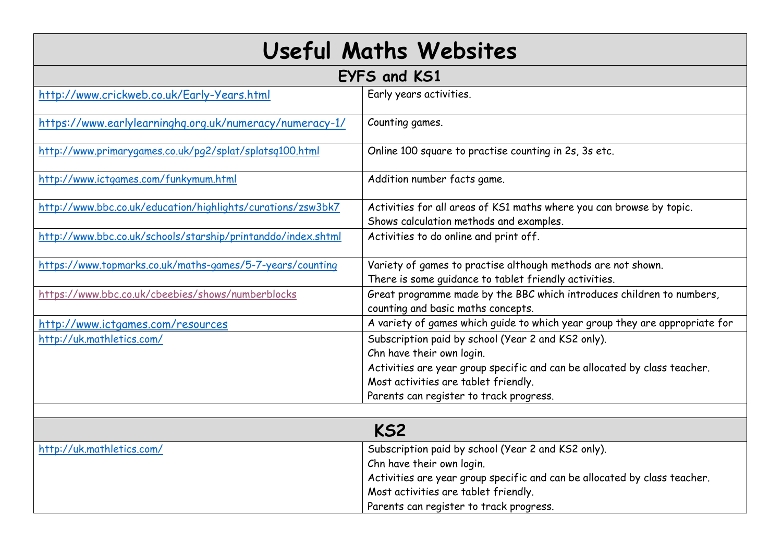| <b>Useful Maths Websites</b>                                 |                                                                                                                       |
|--------------------------------------------------------------|-----------------------------------------------------------------------------------------------------------------------|
| EYFS and KS1                                                 |                                                                                                                       |
| http://www.crickweb.co.uk/Early-Years.html                   | Early years activities.                                                                                               |
| https://www.earlylearninghq.org.uk/numeracy/numeracy-1/      | Counting games.                                                                                                       |
| http://www.primarygames.co.uk/pg2/splat/splatsq100.html      | Online 100 square to practise counting in 2s, 3s etc.                                                                 |
| http://www.ictgames.com/funkymum.html                        | Addition number facts game.                                                                                           |
| http://www.bbc.co.uk/education/highlights/curations/zsw3bk7  | Activities for all areas of KS1 maths where you can browse by topic.<br>Shows calculation methods and examples.       |
| http://www.bbc.co.uk/schools/starship/printanddo/index.shtml | Activities to do online and print off.                                                                                |
| https://www.topmarks.co.uk/maths-games/5-7-years/counting    | Variety of games to practise although methods are not shown.<br>There is some guidance to tablet friendly activities. |
| https://www.bbc.co.uk/cbeebies/shows/numberblocks            | Great programme made by the BBC which introduces children to numbers,<br>counting and basic maths concepts.           |
| http://www.ictgames.com/resources                            | A variety of games which guide to which year group they are appropriate for                                           |
| http://uk.mathletics.com/                                    | Subscription paid by school (Year 2 and KS2 only).<br>Chn have their own login.                                       |
|                                                              | Activities are year group specific and can be allocated by class teacher.                                             |
|                                                              | Most activities are tablet friendly.                                                                                  |
|                                                              | Parents can register to track progress.                                                                               |
|                                                              |                                                                                                                       |
| KS2                                                          |                                                                                                                       |
| http://uk.mathletics.com/                                    | Subscription paid by school (Year 2 and KS2 only).                                                                    |
|                                                              | Chn have their own login.                                                                                             |
|                                                              | Activities are year group specific and can be allocated by class teacher.                                             |
|                                                              | Most activities are tablet friendly.                                                                                  |
|                                                              | Parents can register to track progress.                                                                               |